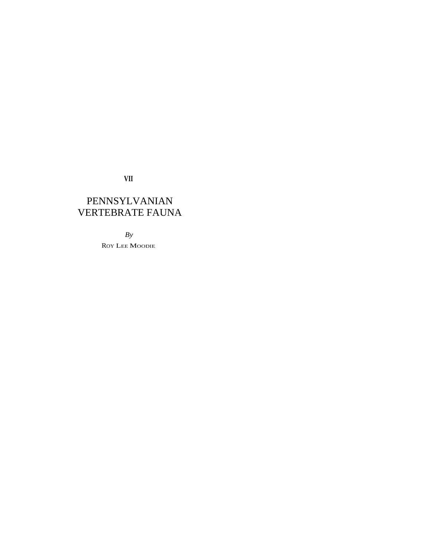**VII** 

# PENNSYLVANIAN VERTEBRATE FAUNA

*By*  ROY LEE MOODIE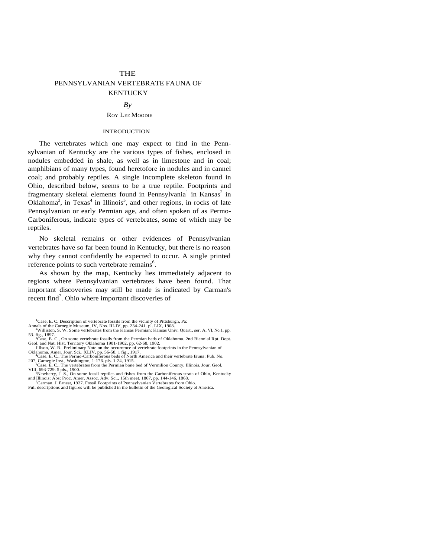# **THE** PENNSYLVANIAN VERTEBRATE FAUNA OF **KENTUCKY**

### *By*

# ROY LEE MOODIE

#### INTRODUCTION

The vertebrates which one may expect to find in the Pennsylvanian of Kentucky are the various types of fishes, enclosed in nodules embedded in shale, as well as in limestone and in coal; amphibians of many types, found heretofore in nodules and in cannel coal; and probably reptiles. A single incomplete skeleton found in Ohio, described below, seems to be a true reptile. Footprints and fragmentary skeletal elements found in Pennsylvania<sup>1</sup> in Kansas<sup>2</sup> in Oklahoma<sup>3</sup>, in Texas<sup>4</sup> in Illinois<sup>5</sup>, and other regions, in rocks of late Pennsylvanian or early Permian age, and often spoken of as Permo-Carboniferous, indicate types of vertebrates, some of which may be reptiles.

No skeletal remains or other evidences of Pennsylvanian vertebrates have so far been found in Kentucky, but there is no reason why they cannot confidently be expected to occur. A single printed reference points to such vertebrate remains<sup>6</sup>.

As shown by the map, Kentucky lies immediately adjacent to regions where Pennsylvanian vertebrates have been found. That important discoveries may still be made is indicated by Carman's recent find<sup>7</sup>. Ohio where important discoveries of

<sup>&</sup>lt;sup>1</sup>Case, E. C. Description of vertebrate fossils from the vicinity of Pittsburgh, Pa:

Annals of the Carnegie Museum, IV, Nos. III-IV, pp. 234-241. pl. LIX, 1908.<br><sup>2</sup>Williston, S. W. Some vertebrates from the Kansas Permian: Kansas Univ. Quart., ser. A, VI, No.1, pp.

<sup>53.</sup> fig., 1897.<br>
<sup>3</sup> Case, E. C., On some vertebrate fossils from the Permian beds of Oklahoma. 2nd Biennial Rpt. Dept.<br>
Geol. and Nat. Hist. Territory Oklahoma 1901-1902, pp. 62-68. 1902.<br>
Jillson, W. R.. Preliminary Note

<sup>207,</sup> Carnegie Inst., Washington, 1-176. pls. 1-24, 1915.<br>
<sup>3</sup>Case, E. C., The vertebrates from the Permian bone bed of Vermilion County, Illinois. Jour. Geol.<br>
VIII, 693-729. 5 pls., 1900.<br>
<sup>5</sup>N-1057: 2012 2013. For the Ca

<sup>&</sup>lt;sup>6</sup>Newberry, J. S., On some fossil reptiles and fishes from the Carboniferous strata of Ohio, Kentucky and Illinois: Abs: Proc. Amer. Assoc. Adv. Sci., 15th meet. 1867, pp. 144-146, 1868.<br><sup>7</sup>Carman, J. Ernest, 1927. Fossil

Full descriptions and figures will be published in the bulletin of the Geological Society of America.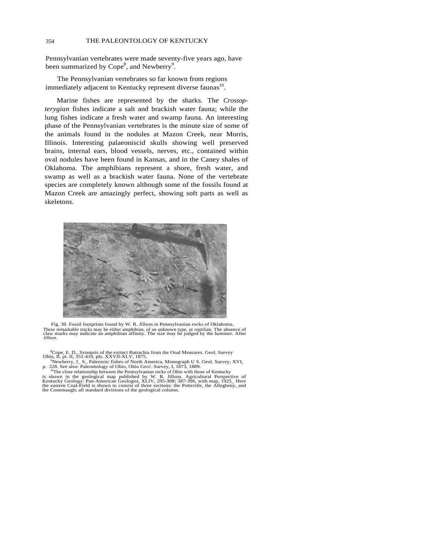# 354 THE PALEONTOLOGY OF KENTUCKY

Pennsylvanian vertebrates were made seventy-five years ago, have been summarized by  $Cope^8$ , and Newberry<sup>9</sup>.

The Pennsylvanian vertebrates so far known from regions immediately adjacent to Kentucky represent diverse faunas<sup>10</sup>.

Marine fishes are represented by the sharks. The *Crossopterygian* fishes indicate a salt and brackish water fauna; while the lung fishes indicate a fresh water and swamp fauna. An interesting phase of the Pennsylvanian vertebrates is the minute size of some of the animals found in the nodules at Mazon Creek, near Morris, Illinois. Interesting palaeoniscid skulls showing well preserved brains, internal ears, blood vessels, nerves, etc., contained within oval nodules have been found in Kansas, and in the Caney shales of Oklahoma. The amphibians represent a shore, fresh water, and swamp as well as a brackish water fauna. None of the vertebrate species are completely known although some of the fossils found at Mazon Creek are amazingly perfect, showing soft parts as well as skeletons.



Fig. 30. Fossil footprints found by W. R. Jillson in Pennsylvanian rocks of Oklahoma. These remarkable tracks may be either amphibian, of an unknown type, or reptilian. The absence of claw marks may indicate an amphibian affinity. The size may be judged by the hammer. After *Jillson*.

<sup>8</sup>Cope, E. D., Synopsis of the extinct Batrachia from the Ooal Measures. Geol. Survey Ohio, II. pt. II, 351-410, pIs. XXVII-XLV, 1875.<br><sup>9</sup>Noubograph S. Palacetic fishes of North America Measureph U.S. Goal Survey. N

<sup>9</sup>Newberry, J\_ S., Paleozoic fishes of North America. Monograph U S. Geol. Survey, XVI, p. 228. See also: Paleontology of Ohio, Ohio Geo!. Survey, I, 1873, 1889.<br><sup>10</sup>The close relationship between the Pennsylvanian rocks

is shown in the geological map published by W. R. Jillson. Agricultural Perspective of Kentucky Geology: Pan-American Geologist, XLIV, 295-308; 387-396, with map, 1925\_Here the eastern Coal-Field is shown to consist of thr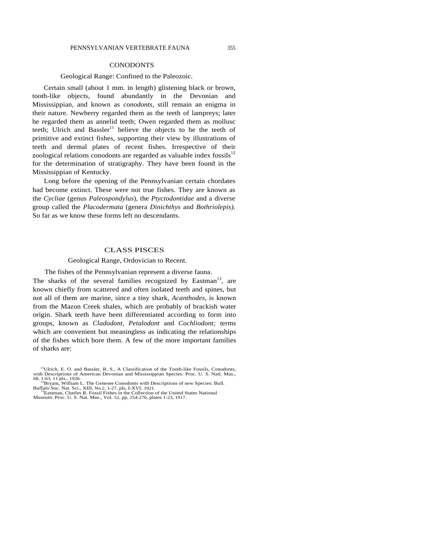# **CONODONTS**

# Geological Range: Confined to the Paleozoic.

Certain small (about 1 mm. in length) glistening black or brown, tooth-like objects, found abundantly in the Devonian and Mississippian, and known as *conodonts,* still remain an enigma in their nature. Newberry regarded them as the teeth of lampreys; later he regarded them as annelid teeth; Owen regarded them as mollusc teeth; Ulrich and Bassler<sup>11</sup> believe the objects to be the teeth of primitive and extinct fishes, supporting their view by illustrations of teeth and dermal plates of recent fishes. Irrespective of their zoological relations conodonts are regarded as valuable index fossils $12$ for the determination of stratigraphy. They have been found in the Mississippian of Kentucky.

Long before the opening of the Pennsylvanian certain chordates had become extinct. These were not true fishes. They are known as the *Cycliae* (genus *Paleospondylus*), the *Ptyctodontidae* and a diverse group called the *Placodermata* (genera *Dinichthys* and *Bothriolepis).*  So far as we know these forms left no descendants.

# CLASS PISCES

### Geological Range, Ordovician to Recent.

The fishes of the Pennsylvanian represent a diverse fauna.

The sharks of the several families recognized by Eastman<sup>13</sup>, are known chiefly from scattered and often isolated teeth and spines, but not all of them are marine, since a tiny shark, *Acanthodes,* is known from the Mazon Creek shales, which are probably of brackish water origin. Shark teeth have been differentiated according to form into groups, known as *Cladodont, Petalodont* and *Cochliodont;* terms which are convenient but meaningless as indicating the relationships of the fishes which bore them. A few of the more important families of sharks are:

<sup>&</sup>lt;sup>11</sup>Ulrich. E. O. and Bassler, R. S., A Classification of the Tooth-like Fossils, Conodonts, with Descriptions of American Devonian and Mississippian Species: Proc. U. S. Natl. Mus., 68, 1-63, 11 pls., 1926.  $\frac{12}{B}$  and 12Bryant, William L. The Genesee Conodonts with Descriptions of new Species: Bull.

Buffalo Soc. Nat. Sci., XIII, No.2, 1-27, pls, I-XVI, 1921.<br><sup>13</sup>Eastman, Charles R. Fossil Fishes in the Collection of the United States National<br>Museum: Proc. U. S. Nat. Mus., Vol. 52, pp, 254-276, plates 1-23, 1917.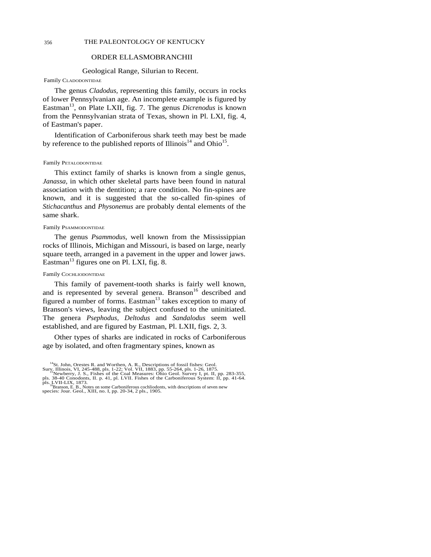## 356 THE PALEONTOLOGY OF KENTUCKY

# ORDER ELLASMOBRANCHII

## Geological Range, Silurian to Recent.

# Family CLADODONTIDAE

The genus *Cladodus,* representing this family, occurs in rocks of lower Pennsylvanian age. An incomplete example is figured by Eastman<sup>13</sup>, on Plate LXII, fig. 7. The genus *Dicrenodus* is known from the Pennsylvanian strata of Texas, shown in Pl. LXI, fig. 4, of Eastman's paper.

Identification of Carboniferous shark teeth may best be made by reference to the published reports of Illinois<sup>14</sup> and Ohio<sup>15</sup>.

#### Family PETALODONTIDAE

This extinct family of sharks is known from a single genus, *Janassa,* in which other skeletal parts have been found in natural association with the dentition; a rare condition. No fin-spines are known, and it is suggested that the so-called fin-spines of *Stichacanthus* and *Physonemus* are probably dental elements of the same shark.

## Family PSAMMODONTIDAE

The genus *Psammodus,* well known from the Mississippian rocks of Illinois, Michigan and Missouri, is based on large, nearly square teeth, arranged in a pavement in the upper and lower jaws. Eastman<sup>13</sup> figures one on Pl. LXI, fig. 8.

### Family COCHLIODONTIDAE

This family of pavement-tooth sharks is fairly well known, and is represented by several genera. Branson $16$  described and figured a number of forms. Eastman<sup>13</sup> takes exception to many of Branson's views, leaving the subject confused to the uninitiated. The genera *Psephodus, Deltodus* and *Sandalodus* seem well established, and are figured by Eastman, Pl. LXII, figs. 2, 3.

Other types of sharks are indicated in rocks of Carboniferous age by isolated, and often fragmentary spines, known as

<sup>&</sup>lt;sup>14</sup>St. John, Orestes R. and Worthen, A. R., Descriptions of fossil fishes: Geol.

Sury, Illinois, VI, 245-488, pls. 1-22; Vol. VII, 1883, pp. 55-264, pls. 1-26, 1875.<br><sup>18</sup>Newberry, J. S., Fishes of the Coal Measures: Ohio Geol. Survey I, pt. II, pp. 283-355, pls. 38-40 Conodonts, II. p. 41, pl. LVII. Fi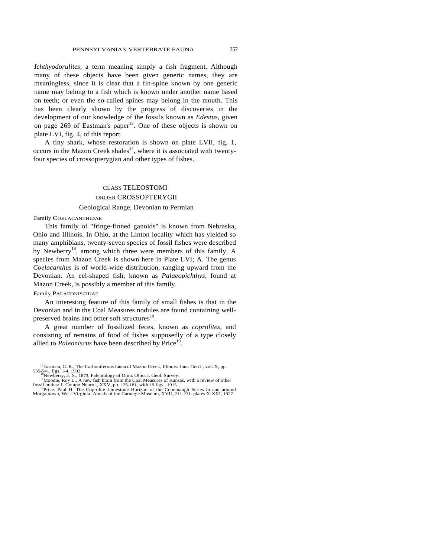*Ichthyodorulites,* a term meaning simply a fish fragment. Although many of these objects have been given generic names, they are meaningless, since it is clear that a fin-spine known by one generic name may belong to a fish which is known under another name based on teeth; or even the so-called spines may belong in the mouth. This has been clearly shown by the progress of discoveries in the development of our knowledge of the fossils known as *Edestus,* given on page  $269$  of Eastman's paper<sup>13</sup>. One of these objects is shown on plate LVI, fig. 4, of this report.

A tiny shark, whose restoration is shown on plate LVII, fig. 1, occurs in the Mazon Creek shales $17$ , where it is associated with twentyfour species of crossopterygian and other types of fishes.

# CLASS TELEOSTOMI ORDER CROSSOPTERYGII

# Geological Range, Devonian to Permian

Family COELACANTHIDAE

This family of "fringe-finned ganoids" is known from Nebraska, Ohio and Illinois. In Ohio, at the Linton locality which has yielded so many amphibians, twenty-seven species of fossil fishes were described by Newberry<sup>18</sup>, among which three were members of this family. A species from Mazon Creek is shown here in Plate LVI; A. The genus *Coelacanthus* is of world-wide distribution, ranging upward from the Devonian. An eel-shaped fish, known as *Palaeopichthys,* found at Mazon Creek, is possibly a member of this family.

# Family PALAEONISCIDAE

An interesting feature of this family of small fishes is that in the Devonian and in the Coal Measures nodules are found containing wellpreserved brains and other soft structures<sup>19</sup>.

A great number of fossilized feces, known as *coprolites,* and consisting of remains of food of fishes supposedly of a type closely allied to *Paleoniscus* have been described by Price<sup>19</sup>.

<sup>&</sup>lt;sup>17</sup>Eastman, C. R., The Carboniferous fauna of Mazon Creek, Illinois: Jour. Geo1., vol. X, pp. 535-541, figs. 1-4, 1902,<br><sup>18</sup>Newberry, J. S., 1873. Palentology of Ohio. Ohio, I. Geol. Survey.<br><sup>19</sup>Moodie, Roy L., A new fish brain from the Coal Measures of Kansas, with a review of other

fossil brains: J. Compo Neurol., XXV, pp. 135-181, with 19 figs., 1915.<br><sup>19</sup>Price. Paul H. The Coprolite Limestone Horizon of the Conemaugh Series in and around<br>Morgantown, West Virginia: Annals of the Carnegie Museum, XVI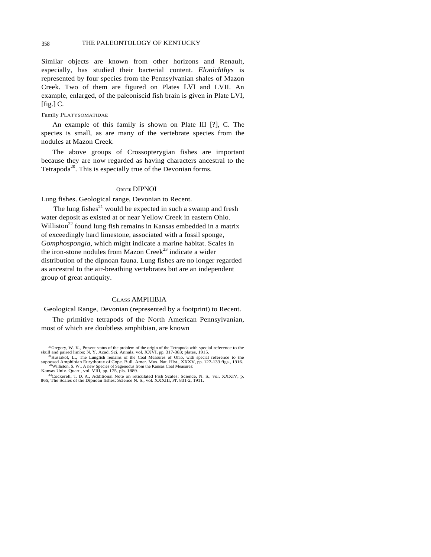Similar objects are known from other horizons and Renault, especially, has studied their bacterial content. *Elonichthys* is represented by four species from the Pennsylvanian shales of Mazon Creek. Two of them are figured on Plates LVI and LVII. An example, enlarged, of the paleoniscid fish brain is given in Plate LVI, [fig.] C.

### Family PLATYSOMATIDAE

An example of this family is shown on Plate III [?], C. The species is small, as are many of the vertebrate species from the nodules at Mazon Creek.

The above groups of Crossopterygian fishes are important because they are now regarded as having characters ancestral to the Tetrapoda<sup>20</sup>. This is especially true of the Devonian forms.

### ORDER DIPNOI

Lung fishes. Geological range, Devonian to Recent.

The lung fishes $^{21}$  would be expected in such a swamp and fresh water deposit as existed at or near Yellow Creek in eastern Ohio. Williston<sup>22</sup> found lung fish remains in Kansas embedded in a matrix of exceedingly hard limestone, associated with a fossil sponge, *Gomphospongia,* which might indicate a marine habitat. Scales in the iron-stone nodules from Mazon Creek<sup>23</sup> indicate a wider distribution of the dipnoan fauna. Lung fishes are no longer regarded as ancestral to the air-breathing vertebrates but are an independent group of great antiquity.

# CLASS AMPHIBIA

Geological Range, Devonian (represented by a footprint) to Recent.

The primitive tetrapods of the North American Pennsylvanian, most of which are doubtless amphibian, are known

 $^{20}$ Gregory, W. K., Present status of the problem of the origin of the Tetrapoda with special reference to the skull and paired limbs: N. Y. Acad. Sci. Annals, vol. XXVI, pp. 317-383; plates, 1915. skull and paired limbs: N. Y. Acad. Sci. Annals, vol.  $XX\tilde{V}I$ , pp. 317-383; plates, 1915.<br><sup>21</sup>Hussakof, L., The Lungfish remains of the Coal Measures of Ohio, with special reference to the

supposed Amphibian Eurythorax of Cope. Bull. Amer. Mus. Nat. Hlst., XXXV, pp. 127-133 figs., 1916. <sup>22</sup>Williston, S. W., A new Species of Sagenodus from the Kansas Coal Measures:

Kansas Univ. Quart., vol. VIII, pp. 175, pls. 1889.<br><sup>23</sup> Cockerell, T. D. A., Additional Note on reticulated Fish Scales: Science, N. S., vol. XXXIV, p.<br>865; The Scales of the Dipnoan fishes: Science N. S., vol. XXXIII, Pl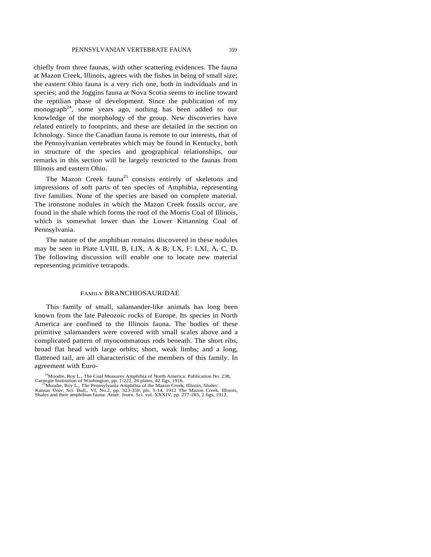chiefly from three faunas, with other scattering evidences. The fauna at Mazon Creek, Illinois, agrees with the fishes in being of small size; the eastern Ohio fauna is a very rich one, both in individuals and in species; and the Joggins fauna at Nova Scotia seems to incline toward the reptilian phase of development. Since the publication of my monograph<sup>24</sup>, some years ago, nothing has been added to our knowledge of the morphology of the group. New discoveries have related entirely to footprints, and these are detailed in the section on Ichnology. Since the Canadian fauna is remote to our interests, that of the Pennsylvanian vertebrates which may be found in Kentucky, both in structure of the species and geographical relationships, our remarks in this section will be largely restricted to the faunas from Illinois and eastern Ohio.

The Mazon Creek fauna<sup>25</sup> consists entirely of skeletons and impressions of soft parts of ten species of Amphibia, representing five families. None of the species are based on complete material. The ironstone nodules in which the Mazon Creek fossils occur, are found in the shale which forms the roof of the Morris Coal of Illinois, which is somewhat lower than the Lower Kittanning Coal of Pennsylvania.

The nature of the amphibian remains discovered in these nodules may be seen in Plate LVIII, B, LIX, A & B; LX, F: LXI, A, C, D. The following discussion will enable one to locate new material representing primitive tetrapods.

### FAMILY BRANCHIOSAURIDAE

This family of small, salamander-like animals has long been known from the late Paleozoic rocks of Europe. Its species in North America are confined to the Illinois fauna. The bodies of these primitive salamanders were covered with small scales above and a complicated pattern of myocommatous rods beneath. The short ribs, broad flat head with large orbits; short, weak limbs; and a long, flattened tail, are all characteristic of the members of this family. In agreement with Euro-

<sup>&</sup>lt;sup>24</sup>Moodie, Roy L., The Coal Measures Amphibia of North America: Publication No. 238, Carnegie Institution of Washington, pp. 1-222, 26 plates, 42 figs, 1916.

Carnegie Institution of Washington, pp. 1-222, 26 plates, 42 figs, 1916.<br><sup>25</sup>Moodie, Roy L., The Pennsylvania Amphibia of the Mazon Creek, Illinois, Shales:<br>Kansas Univ. Sci. Bull., VI, No.2, pp. 323-359, pls. 1-14, 1912 T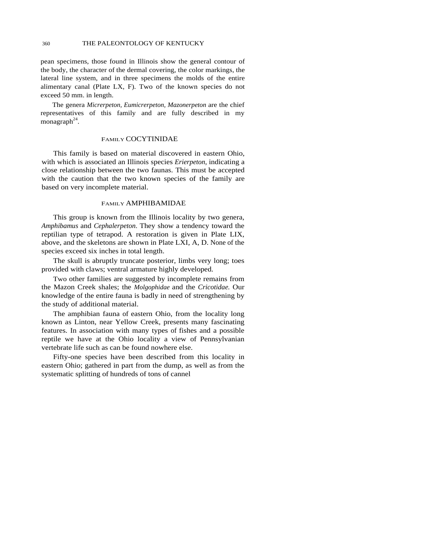pean specimens, those found in Illinois show the general contour of the body, the character of the dermal covering, the color markings, the lateral line system, and in three specimens the molds of the entire alimentary canal (Plate LX, F). Two of the known species do not exceed 50 mm. in length.

The genera *Micrerpeton, Eumicrerpeton, Mazonerpeton* are the chief representatives of this family and are fully described in my monagraph<sup>24</sup>.

# FAMILY COCYTINIDAE

This family is based on material discovered in eastern Ohio, with which is associated an Illinois species *Erierpeton*, indicating a close relationship between the two faunas. This must be accepted with the caution that the two known species of the family are based on very incomplete material.

# FAMILY AMPHIBAMIDAE

This group is known from the Illinois locality by two genera, *Amphibamus* and *Cephalerpeton*. They show a tendency toward the reptilian type of tetrapod. A restoration is given in Plate LIX, above, and the skeletons are shown in Plate LXI, A, D. None of the species exceed six inches in total length.

The skull is abruptly truncate posterior, limbs very long; toes provided with claws; ventral armature highly developed.

Two other families are suggested by incomplete remains from the Mazon Creek shales; the *Molgophidae* and the *Cricotidae.* Our knowledge of the entire fauna is badly in need of strengthening by the study of additional material.

The amphibian fauna of eastern Ohio, from the locality long known as Linton, near Yellow Creek, presents many fascinating features. In association with many types of fishes and a possible reptile we have at the Ohio locality a view of Pennsylvanian vertebrate life such as can be found nowhere else.

Fifty-one species have been described from this locality in eastern Ohio; gathered in part from the dump, as well as from the systematic splitting of hundreds of tons of cannel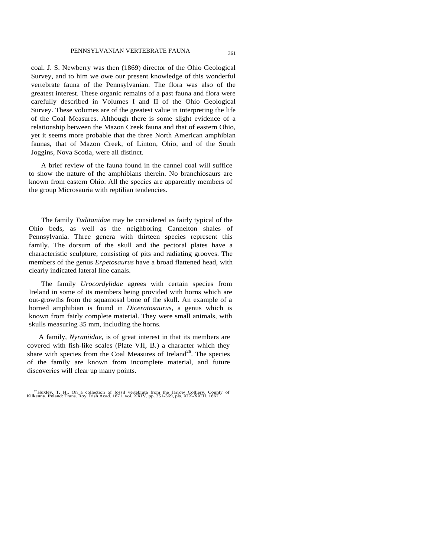coal. J. S. Newberry was then (1869) director of the Ohio Geological Survey, and to him we owe our present knowledge of this wonderful vertebrate fauna of the Pennsylvanian. The flora was also of the greatest interest. These organic remains of a past fauna and flora were carefully described in Volumes I and II of the Ohio Geological Survey. These volumes are of the greatest value in interpreting the life of the Coal Measures. Although there is some slight evidence of a relationship between the Mazon Creek fauna and that of eastern Ohio, yet it seems more probable that the three North American amphibian faunas, that of Mazon Creek, of Linton, Ohio, and of the South Joggins, Nova Scotia, were all distinct.

A brief review of the fauna found in the cannel coal will suffice to show the nature of the amphibians therein. No branchiosaurs are known from eastern Ohio. All the species are apparently members of the group Microsauria with reptilian tendencies.

The family *Tuditanidae* may be considered as fairly typical of the Ohio beds, as well as the neighboring Cannelton shales of Pennsylvania. Three genera with thirteen species represent this family. The dorsum of the skull and the pectoral plates have a characteristic sculpture, consisting of pits and radiating grooves. The members of the genus *Erpetosaurus* have a broad flattened head, with clearly indicated lateral line canals.

The family *Urocordylidae* agrees with certain species from Ireland in some of its members being provided with horns which are out-growths from the squamosal bone of the skull. An example of a horned amphibian is found in *Diceratosaurus,* a genus which is known from fairly complete material. They were small animals, with skulls measuring 35 mm, including the horns.

A family, *Nyraniidae,* is of great interest in that its members are covered with fish-like scales (Plate VII, B.) a character which they share with species from the Coal Measures of Ireland<sup>26</sup>. The species of the family are known from incomplete material, and future discoveries will clear up many points.

<sup>26</sup>Huxley, T. H., On a collection of fossil vertebrata from the Jarrow Colliery. County of Kilkenny, Ireland: Trans. Roy. Irish Acad. 1871. vol. XXIV, pp. 351-369, pls. XIX-XXIII. 1867.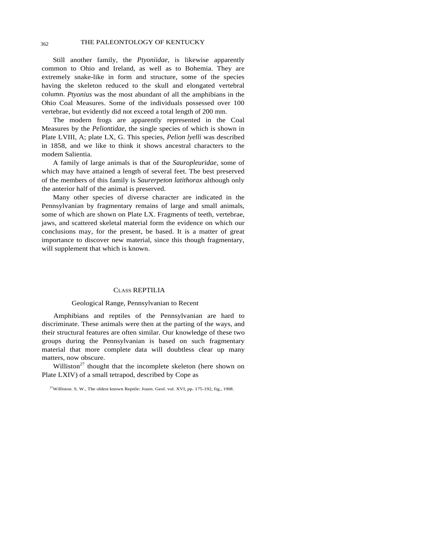# 362 THE PALEONTOLOGY OF KENTUCKY

Still another family, the *Ptyoniidae,* is likewise apparently common to Ohio and Ireland, as well as to Bohemia. They are extremely snake-like in form and structure, some of the species having the skeleton reduced to the skull and elongated vertebral column. *Ptyonius* was the most abundant of all the amphibians in the Ohio Coal Measures. Some of the individuals possessed over 100 vertebrae, but evidently did not exceed a total length of 200 mm.

The modern frogs are apparently represented in the Coal Measures by the *Peliontidae,* the single species of which is shown in Plate LVIII, A; plate LX, G. This species, *Pelion lyelli* was described in 1858, and we like to think it shows ancestral characters to the modem Salientia.

A family of large animals is that of the *Sauropleuridae,* some of which may have attained a length of several feet. The best preserved of the members of this family is *Saurerpeton latithorax* although only the anterior half of the animal is preserved.

Many other species of diverse character are indicated in the Pennsylvanian by fragmentary remains of large and small animals, some of which are shown on Plate LX. Fragments of teeth, vertebrae, jaws, and scattered skeletal material form the evidence on which our conclusions may, for the present, be based. It is a matter of great importance to discover new material, since this though fragmentary, will supplement that which is known.

# CLASS REPTILIA

# Geological Range, Pennsylvanian to Recent

Amphibians and reptiles of the Pennsylvanian are hard to discriminate. These animals were then at the parting of the ways, and their structural features are often similar. Our knowledge of these two groups during the Pennsylvanian is based on such fragmentary material that more complete data will doubtless clear up many matters, now obscure.

Williston<sup>27</sup> thought that the incomplete skeleton (here shown on Plate LXIV) of a small tetrapod, described by Cope as

<sup>&</sup>lt;sup>27</sup>Williston. S. W., The oldest known Reptile: Journ. Geol. vol. XVI, pp. 175-192, fig., 1908.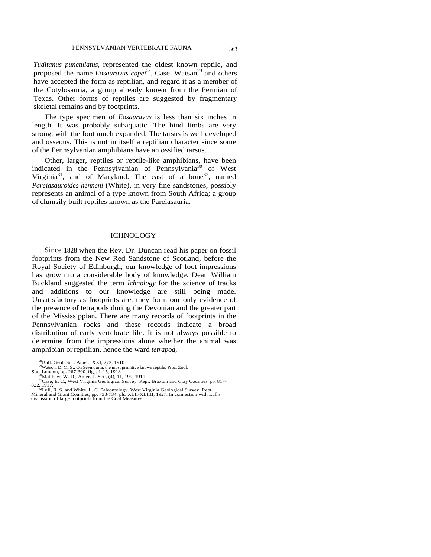*Tuditanus punctulatus,* represented the oldest known reptile, and proposed the name *Eosauravus copei*<sup>28</sup>. Case, Watsan<sup>29</sup> and others have accepted the form as reptilian, and regard it as a member of the Cotylosauria, a group already known from the Permian of Texas. Other forms of reptiles are suggested by fragmentary skeletal remains and by footprints.

The type specimen of *Eosauravus* is less than six inches in length. It was probably subaquatic. The hind limbs are very strong, with the foot much expanded. The tarsus is well developed and osseous. This is not in itself a reptilian character since some of the Pennsylvanian amphibians have an ossified tarsus.

Other, larger, reptiles or reptile-like amphibians, have been indicated in the Pennsylvanian of Pennsylvania<sup>30</sup> of West Virginia<sup>31</sup>, and of Maryland. The cast of a bone<sup>32</sup>, named *Pareiasauroides henneni* (White), in very fine sandstones, possibly represents an animal of a type known from South Africa; a group of clumsily built reptiles known as the Pareiasauria.

# **ICHNOLOGY**

Since 1828 when the Rev. Dr. Duncan read his paper on fossil footprints from the New Red Sandstone of Scotland, before the Royal Society of Edinburgh, our knowledge of foot impressions has grown to a considerable body of knowledge. Dean William Buckland suggested the term *Ichnology* for the science of tracks and additions to our knowledge are still being made. Unsatisfactory as footprints are, they form our only evidence of the presence of tetrapods during the Devonian and the greater part of the Mississippian. There are many records of footprints in the Pennsylvanian rocks and these records indicate a broad distribution of early vertebrate life. It is not always possible to determine from the impressions alone whether the animal was amphibian orreptilian, hence the ward *tetrapod,* 

<sup>&</sup>lt;sup>28</sup>Bull. Geol. Soc. Amer., XXI, 272, 1910.

<sup>&</sup>lt;sup>29</sup>Watson, D. M. S., On Seymouria, the most primitive known reptile: Proc. Zool.<br>Soc. London, pp. 267-300, figs. 1-15, 1918.<br><sup>30</sup>Matthew, W. D., Amer. J. Sci., (4), 11, 199, 1911.

<sup>&</sup>lt;sup>31</sup>Gase, E.C., West Virginia Geological Survey, Rept. Braxton and Clay Counties, pp. 817-<br><sup>31</sup>Gase, E.C., West Virginia Geological Survey, Rept. Braxton and Clay Counties, pp. 817-

Mineral and Grant Counties, pp, 733-734, pls. XLII-XLIIII, 1927. In connection with Lull's discussion of large footprints from the Coal Measures.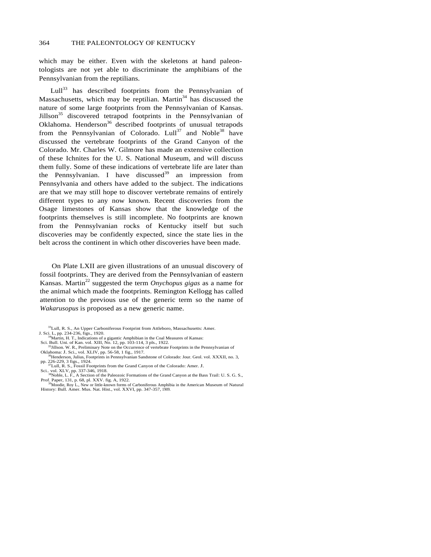which may be either. Even with the skeletons at hand paleontologists are not yet able to discriminate the amphibians of the Pennsylvanian from the reptilians.

 $Lull^{33}$  has described footprints from the Pennsylvanian of Massachusetts, which may be reptilian. Martin $34$  has discussed the nature of some large footprints from the Pennsylvanian of Kansas. Jillson<sup>35</sup> discovered tetrapod footprints in the Pennsylvanian of Oklahoma. Henderson<sup>36</sup> described footprints of unusual tetrapods from the Pennsylvanian of Colorado.  $Lull^{37}$  and Noble<sup>38</sup> have discussed the vertebrate footprints of the Grand Canyon of the Colorado. Mr. Charles W. Gilmore has made an extensive collection of these Ichnites for the U. S. National Museum, and will discuss them fully. Some of these indications of vertebrate life are later than the Pennsylvanian. I have discussed<sup>39</sup> an impression from Pennsylvania and others have added to the subject. The indications are that we may still hope to discover vertebrate remains of entirely different types to any now known. Recent discoveries from the Osage limestones of Kansas show that the knowledge of the footprints themselves is still incomplete. No footprints are known from the Pennsylvanian rocks of Kentucky itself but such discoveries may be confidently expected, since the state lies in the belt across the continent in which other discoveries have been made.

On Plate LXII are given illustrations of an unusual discovery of fossil footprints. They are derived from the Pennsylvanian of eastern Kansas. Martin<sup>22</sup> suggested the term *Onychopus gigas* as a name for the animal which made the footprints. Remington Kellogg has called attention to the previous use of the generic term so the name of *Wakarusopus* is proposed as a new generic name.

- 33Lull, R. S., An Upper Carboniferous Footprint from Attleboro, Massachusetts: Amer. J. Sci. L, pp. 234-236, figs., 1920.<br><sup>34</sup>Martin, H. T., Indications of a gigantic Amphibian in the Coal Measures of Kansas:
- 
- Sci. Bull. Uni. of Kan. vol. XIII, No. 12, pp. 103-114, 3 pls., 1922.<br><sup>35</sup>Jillson. W. R., Preliminary Note on the Occurrence of vertebrate Footprints in the Pennsylvanian of
- Oklahoma: J. Sci., vol. XLIV, pp. 56-58, 1 fig., 1917.<br><sup>36</sup>Henderson, Julius, Footprints in Pennsylvanian Sandstone of Colorado: Jour. Geol. vol. XXXII, no. 3, <sup>36</sup>Henderson, Julius, Footprints in Pennsylvanian Sandstone of Colorado: Jour. Geol. vol. XXXII, no. 3, pp. 226-229, 3 figs., 1924.<br>
<sup>37</sup>Lull, R. S., Fossil Footprints from the Grand Canyon of the Colorado: Amer. J.
- 

Sci.. vol. XLV, pp. 337-346, 1918.<br>Sci.. vol. XLV, pp. 337-346, 1918.<br><sup>38</sup>Noble, L. F., A Section of the Paleozoic Formations of the Grand Canyon at the Bass Trail: U. S. G. S., Prof. Paper, 131, p. 68, pl. XXV. fig. A, 1922.<br><sup>39</sup>Moodie, Roy L., New or little-known forms of Carboniferous Amphibia in the American Museum of Natural

History: Bull. Amer. Mus. Nat. Hist., vol. XXVI, pp. 347-357, 1909.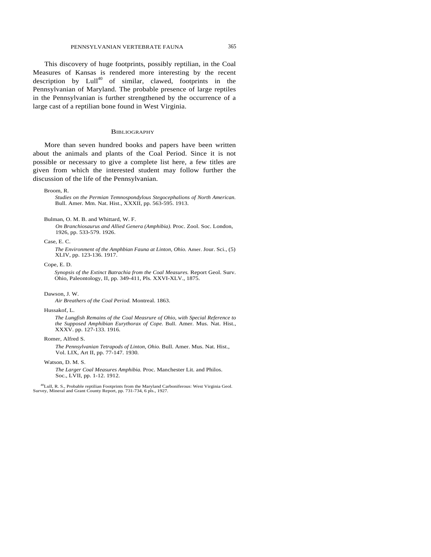# PENNSYLVANIAN VERTEBRATE FAUNA 365

This discovery of huge footprints, possibly reptilian, in the Coal Measures of Kansas is rendered more interesting by the recent description by  $Lull^{40}$  of similar, clawed, footprints in the Pennsylvanian of Maryland. The probable presence of large reptiles in the Pennsylvanian is further strengthened by the occurrence of a large cast of a reptilian bone found in West Virginia.

# **BIBLIOGRAPHY**

More than seven hundred books and papers have been written about the animals and plants of the Coal Period. Since it is not possible or necessary to give a complete list here, a few titles are given from which the interested student may follow further the discussion of the life of the Pennsylvanian.

#### Broom, R.

*Studies on the Permian Temnospondylous Stegocephalions of North American.*  Bull. Amer. Mm. Nat. Hist., XXXII, pp. 563-595. 1913.

*On Branchiosaurus and Allied Genera (Amphibia).* Proc. Zool. Soc. London, 1926, pp. 533-579. 1926.

#### Case, E. C.

*The Environment of the Amphbian Fauna at Linton, Ohio.* Amer. Jour. Sci., (5) XLIV, pp. 123-136. 1917.

Cope, E. D.

*Synopsis of the Extinct Batrachia from the Coal Measures.* Report Geol. Surv. Ohio, Paleontology, II, pp. 349-411, Pls. XXVI-XLV., 1875.

#### Dawson, J. W.

*Air Breathers of the Coal Period.* Montreal. 1863.

#### Hussakof, L.

*The Lungfish Remains of the Coal Measrure of Ohio, with Special Reference to the Supposed Amphibian Eurythorax of Cope.* Bull. Amer. Mus. Nat. Hist., XXXV. pp. 127-133. 1916.

#### Romer, Alfred S.

*The Pennsylvanian Tetrapods of Linton, Ohio.* Bull. Amer. Mus. Nat. Hist., Vol. LIX, Art II, pp. 77-147. 1930.

#### Watson, D. M. S.

*The Larger Coal Measures Amphibia.* Proc. Manchester Lit. and Philos. Soc., LVII, pp. 1-12. 1912.

<sup>40</sup>Lull, R. S., Probable reptilian Footprints from the Maryland Carboniferous: West Virginia Geol. Survey, Mineral and Grant County Report, pp. 731-734, 6 pls., 1927.

Bulman, O. M. B. and Whittard, W. F.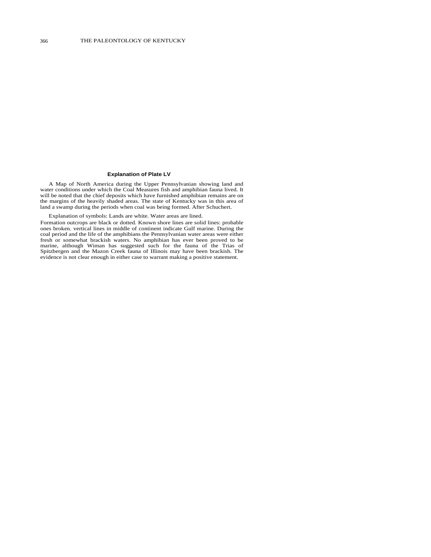#### **Explanation of Plate LV**

A Map of North America during the Upper Pennsylvanian showing land and water conditions under which the Coal Measures fish and amphibian fauna lived. It will be noted that the chief deposits which have furnished amphibian remains are on the margins of the heavily shaded areas. The state of Kentucky was in this area of land a swamp during the periods when coal was being formed. After Schuchert.

Explanation of symbols: Lands are white. Water areas are lined.

Formation outcrops are black or dotted. Known shore lines are solid lines: probable ones broken. vertical lines in middle of continent indicate Gulf marine. During the coal period and the life of the amphibians the Pennsylvanian water areas were either fresh or somewhat brackish waters. No amphibian has ever been proved to be marine, although Wiman has suggested such for the fauna of the Trias of Spitzbergen and the Mazon Creek fauna of Illinois may have been brackish. The evidence is not clear enough in either case to warrant making a positive statement.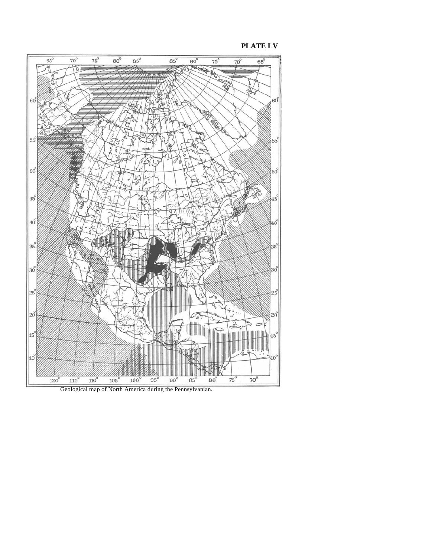**PLATE LV** 



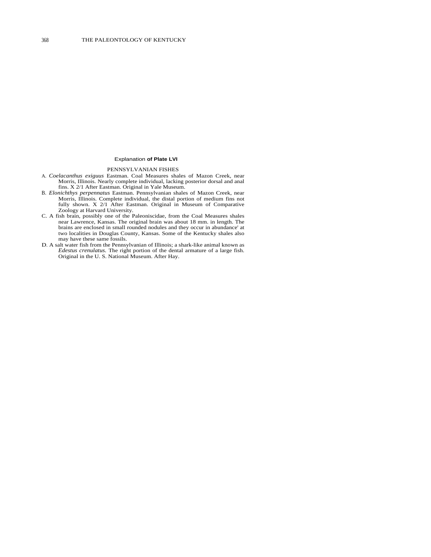### Explanation **of Plate LVI**

# PENNSYLVANIAN FISHES

- A. *Coelacanthus exiguus* Eastman. Coal Measures shales of Mazon Creek, near Morris, Illinois. Nearly complete individual, lacking posterior dorsal and anal fins. X 2/1 After Eastman. Original in Yale Museum.
- B. *Elonichthys perpennatus* Eastman. Pennsylvanian shales of Mazon Creek, near Morris, Illinois. Complete individual, the distal portion of medium fins not fully shown. X 2/1 After Eastman. Original in Museum of Comparative Zoology at Harvard University.
- C. A fish brain, possibly one of the Paleoniscidae, from the Coal Measures shales near Lawrence, Kansas. The original brain was about 18 mm. in length. The brains are enclosed in small rounded nodules and they occur in abundance' at two localities in Douglas County, Kansas. Some of the Kentucky shales also may have these same fossils.
- D. A salt water fish from the Pennsylvanian of Illinois; a shark-like animal known as *Edestus crenulatus.* The right portion of the dental armature of a large fish. Original in the U. S. National Museum. After Hay.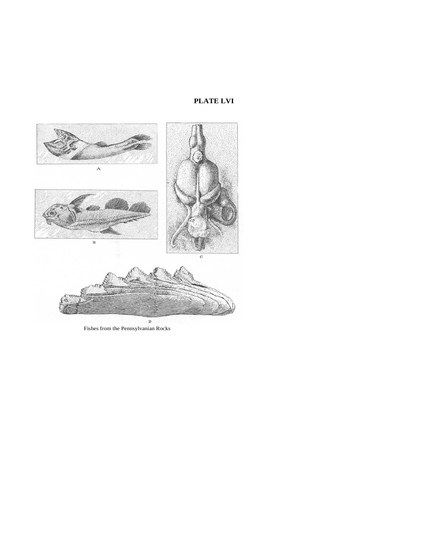# **PLATE LVI**



Fishes from the Pennsylvanian Rocks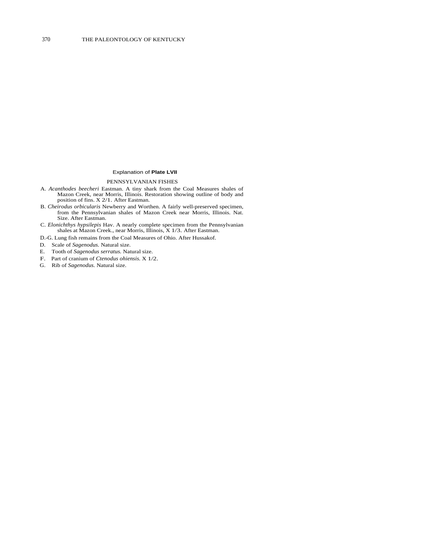### Explanation of **Plate LVII**

PENNSYLVANIAN FISHES

- A. *Acanthodes beecheri* Eastman. A tiny shark from the Coal Measures shales of Mazon Creek, near Morris, Illinois. Restoration showing outline of body and position of fins. X 2/1. After Eastman.
- B. *Cheirodus orbicularis* Newberry and Worthen. A fairly well-preserved specimen, from the Pennsylvanian shales of Mazon Creek near Morris, Illinois. Nat. Size. After Eastman.
- C. *Elonichthys hypsilepis* Hav. A nearly complete specimen from the Pennsylvanian shales at Mazon Creek., near Morris, Illinois, X 1/3. After Eastman.

D.-G. Lung fish remains from the Coal Measures of Ohio. After Hussakof.

- D. Scale of *Sagenodus.* Natural size.
- E. Tooth of *Sagenodus serratus.* Natural size.
- F. Part of cranium of *Ctenodus ohiensis.* X 1/2.
- G. Rib of *Sagenodus.* Natural size.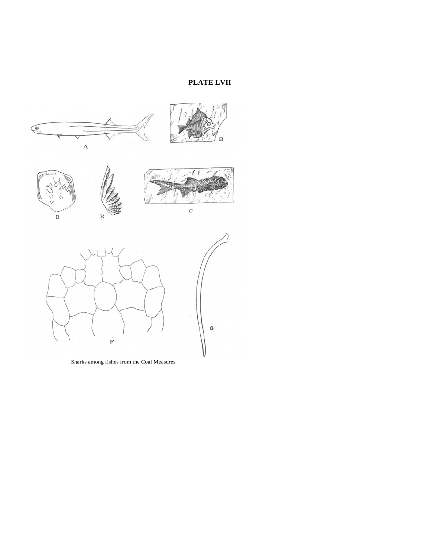# **PLATE LVII**



Sharks among fishes from the Coal Measures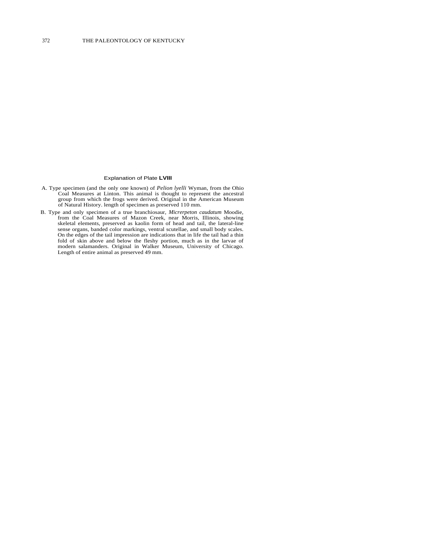#### Explanation of Plate **LVIII**

- A. Type specimen (and the only one known) of *Pelion lyelli* Wyman, from the Ohio Coal Measures at Linton. This animal is thought to represent the ancestral group from which the frogs were derived. Original in the American
- B. Type and only specimen of a true branchiosaur, *Micrerpeton caudatum* Moodie, from the Coal Measures of Mazon Creek, near Morris, Illinois, showing skeletal elements, preserved as kaolin form of head and tail, the lateral-line sense organs, banded color markings, ventral scutellae, and small body scales. On the edges of the tail impression are indications that in life the tail had a thin fold of skin above and below the fleshy portion, much as in the larvae of modern salamanders. Original in Walker Museum, University of Chicago. Length of entire animal as preserved 49 mm.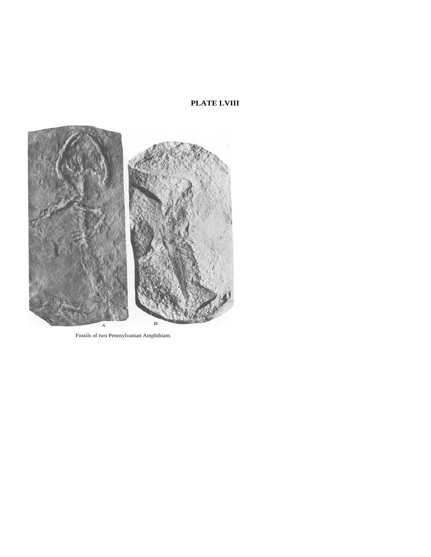# **PLATE LVIII**



Fossils of two Pennsylvanian Amphibians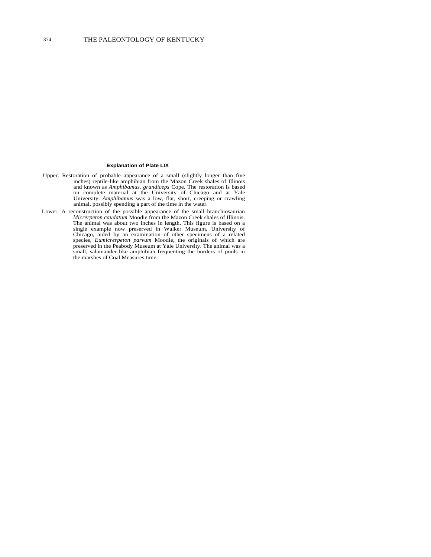#### **Explanation of Plate LIX**

- Upper. Restoration of probable appearance of a small (slightly longer than five inches) reptile-like amphibian from the Mazon Creek shales of Illinois and known as *Amphibamus. grandiceps* Cope. The restoration is based on complete material at the University of Chicago and at Yale University. *Amphibamus* was a low, flat, short, creeping or crawling animal, possibly spending a part of the time in the water.
- Lower. A reconstruction of the possible appearance of the small branchiosaurian *Micrerpeton caudatum* Moodie from the Mazon Creek shales of Illinois. The animal was about two inches in length. This figure is based on a single example now preserved in Walker Museum, University of Chicago, aided by an examination of other specimens of a related species, *Eumicrerpeton parvum* Moodie, the originals of which are preserved in the Peabody Museum at Yale University. The animal was a small, salamander-like amphibian frequenting the borders of pools in the marshes of Coal Measures time.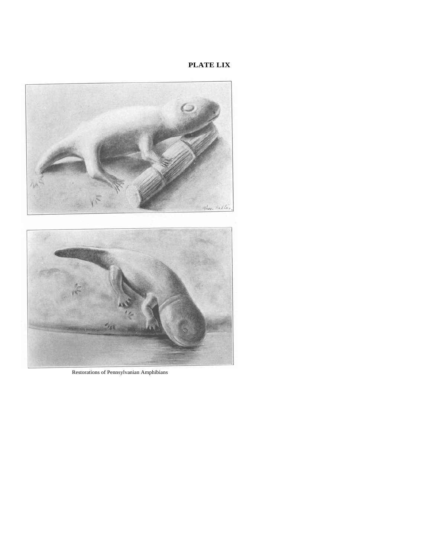# **PLATE LIX**



Restorations of Pennsylvanian Amphibians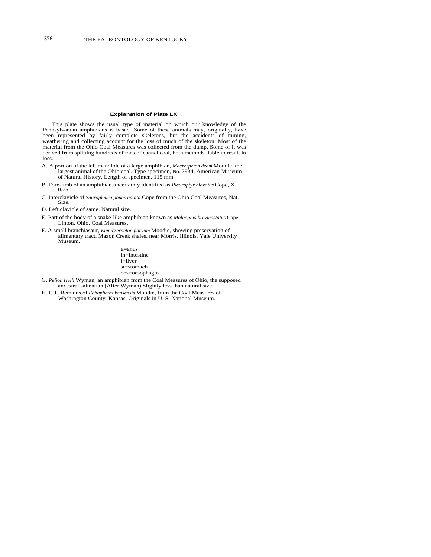#### **Explanation of Plate LX**

This plate shows the usual type of material on which our knowledge of the Pennsylvanian amphibians is based. Some of these animals may, originally, have been represented by fairly complete skeletons, but the accidents of mining, weathering and collecting account for the loss of much of the skeleton. Most of the material from the Ohio Coal Measures was collected from the dump. Some of it was derived from splitting hundreds of tons of cannel coal, both methods liable to result in loss.

- A. A portion of the left mandible of a large amphibian, *Macrerpeton deani* Moodie, the largest animal of the Ohio coal. Type specimen, No. 2934, American Museum of Natural History. Length of specimen, 115 mm.
- B. Fore-limb of an amphibian uncertainly identified as *Pleuroptyx clavatus* Cope, X 0.75.
- C. Interclavicle of *Sauropleura pauciradiata* Cope from the Ohio Coal Measures, Nat. Size.
- D. Left clavicle of same. Natural size.
- E. Part of the body of a snake-like amphibian known as *Molgophis brevicostatus* Cope. Linton, Ohio, Coal Measures.
- F. A small branchiasaur, *Eumicrerpeton parvum* Moodie, showing preservation of alimentary tract. Mazon Creek shales, near Morris, Illinois. Yale University Museum.

a=anus in=intestine l=liver st=stomach oes=oesophagus

- G. *Pelion lyelli* Wyman, an amphibian from the Coal Measures of Ohio, the supposed ancestral salientian (After Wyman) Slightly less than natural size.
- H. I. J. Remains of *Eobaphetes kansensis* Moodie, from the Coal Measures of Washington County, Kansas. Originals in U. S. National Museum.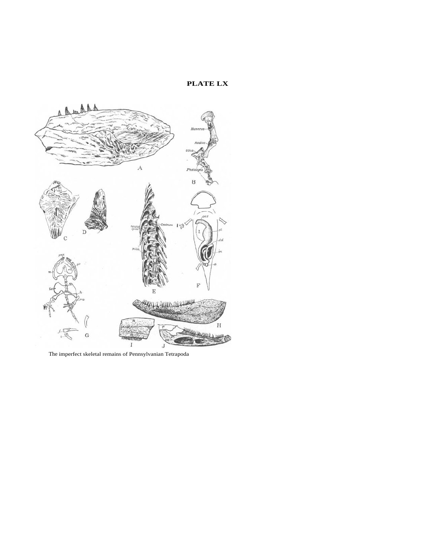# **PLATE LX**



The imperfect skeletal remains of Pennsylvanian Tetrapoda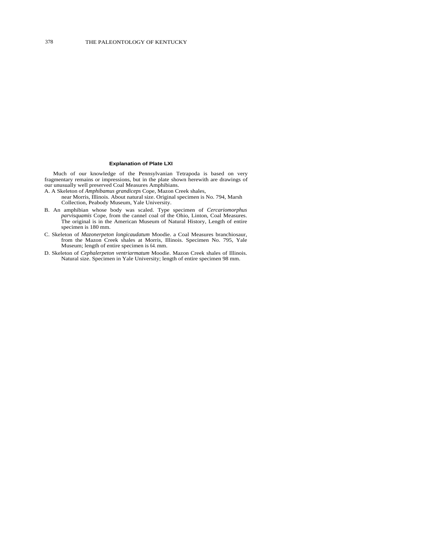# **Explanation of Plate LXI**

Much of our knowledge of the Pennsylvanian Tetrapoda is based on very fragmentary remains or impressions, but in the plate shown herewith are drawings of our unusually well preserved Coal Measures Amphibians.

- A. A Skeleton of *Amphibamus grandiceps* Cope, Mazon Creek shales,
	- near Morris, Illinois. About natural size. Original specimen is No. 794, Marsh Collection, Peabody Museum, Yale University.
- B. An amphibian whose body was scaled. Type specimen of *Cercariomorphus parvisquamis* Cope, from the cannel coal of the Ohio, Linton, Coal Measures. The original is in the American Museum of Natural History, Length of entire specimen is 180 mm.
- C. Skeleton of *Mazonerpeton longicaudatum* Moodie. a Coal Measures branchiosaur, from the Mazon Creek shales at Morris, Illinois. Specimen No. 795, Yale Museum; length of entire specimen is 64. mm.
- D. Skeleton of *Cephalerpeton ventriarmatum* Moodie. Mazon Creek shales of Illinois. Natural size. Specimen in Yale University; length of entire specimen 98 mm.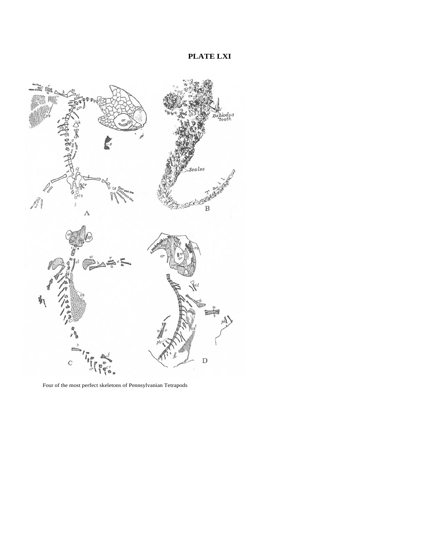**PLATE LXI** 



Four of the most perfect skeletons of Pennsylvanian Tetrapods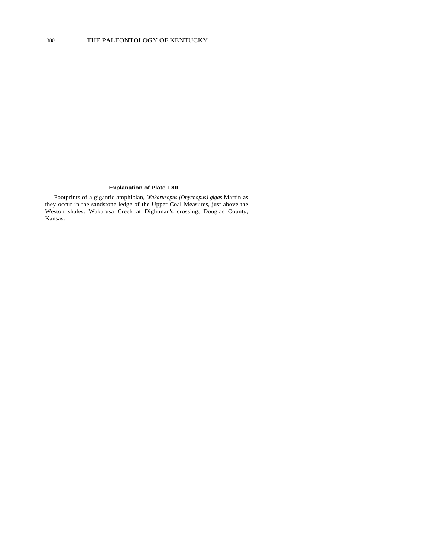# **Explanation of Plate LXII**

Footprints of a gigantic amphibian, *Wakarusopus (Onychopus) gigas* Martin as they occur in the sandstone ledge of the Upper Coal Measures, just above the Weston shales. Wakarusa Creek at Dightman's crossing, Douglas County, Kansas.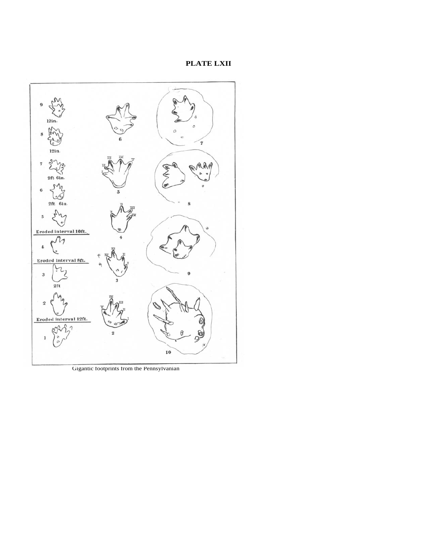# **PLATE LXII**



Gigantic footprints from the Pennsylvanian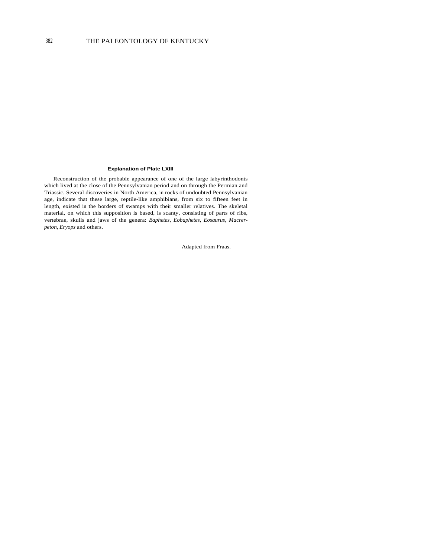### **Explanation of Plate LXIII**

Reconstruction of the probable appearance of one of the large labyrinthodonts which lived at the close of the Pennsylvanian period and on through the Permian and Triassic. Several discoveries in North America, in rocks of undoubted Pennsylvanian age, indicate that these large, reptile-like amphibians, from six to fifteen feet in length, existed in the borders of swamps with their smaller relatives. The skeletal material, on which this supposition is based, is scanty, consisting of parts of ribs, vertebrae, skulls and jaws of the genera: *Baphetes, Eobaphetes, Eosaurus, Macrerpeton, Eryops* and others.

Adapted from Fraas.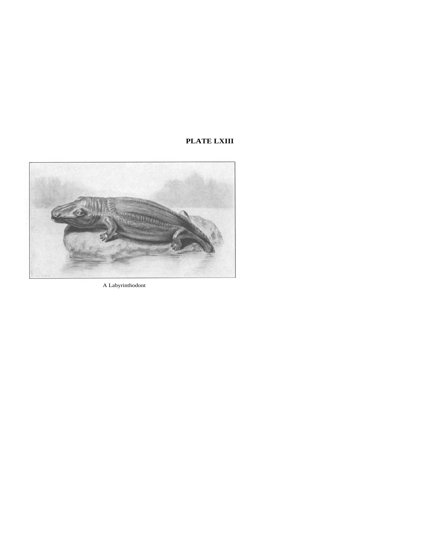# **PLATE LXIII**



A Labyrinthodont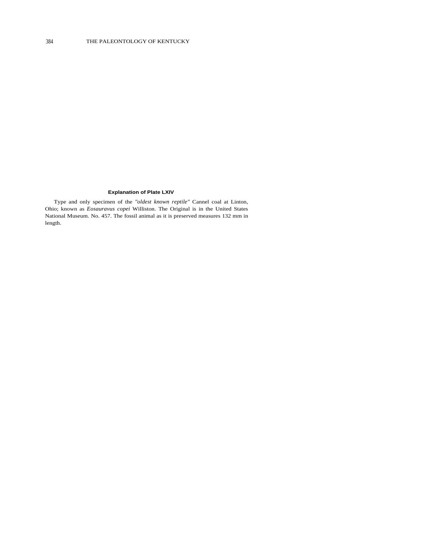# **Explanation of Plate LXIV**

Type and only specimen of the *"oldest known reptile"* Cannel coal at Linton, Ohio; known as *Eosauravus copei* Williston. The Original is in the United States National Museum. No. 457. The fossil animal as it is preserved measures 132 mm in length.